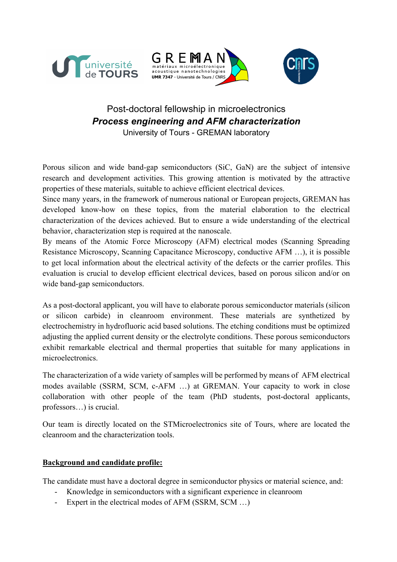





## Post-doctoral fellowship in microelectronics *Process engineering and AFM characterization* University of Tours - GREMAN laboratory

Porous silicon and wide band-gap semiconductors (SiC, GaN) are the subject of intensive research and development activities. This growing attention is motivated by the attractive properties of these materials, suitable to achieve efficient electrical devices.

Since many years, in the framework of numerous national or European projects, GREMAN has developed know-how on these topics, from the material elaboration to the electrical characterization of the devices achieved. But to ensure a wide understanding of the electrical behavior, characterization step is required at the nanoscale.

By means of the Atomic Force Microscopy (AFM) electrical modes (Scanning Spreading Resistance Microscopy, Scanning Capacitance Microscopy, conductive AFM …), it is possible to get local information about the electrical activity of the defects or the carrier profiles. This evaluation is crucial to develop efficient electrical devices, based on porous silicon and/or on wide band-gap semiconductors.

As a post-doctoral applicant, you will have to elaborate porous semiconductor materials (silicon or silicon carbide) in cleanroom environment. These materials are synthetized by electrochemistry in hydrofluoric acid based solutions. The etching conditions must be optimized adjusting the applied current density or the electrolyte conditions. These porous semiconductors exhibit remarkable electrical and thermal properties that suitable for many applications in microelectronics.

The characterization of a wide variety of samples will be performed by means of AFM electrical modes available (SSRM, SCM, c-AFM …) at GREMAN. Your capacity to work in close collaboration with other people of the team (PhD students, post-doctoral applicants, professors…) is crucial.

Our team is directly located on the STMicroelectronics site of Tours, where are located the cleanroom and the characterization tools.

## **Background and candidate profile:**

The candidate must have a doctoral degree in semiconductor physics or material science, and:

- Knowledge in semiconductors with a significant experience in cleanroom
- Expert in the electrical modes of AFM (SSRM, SCM ...)